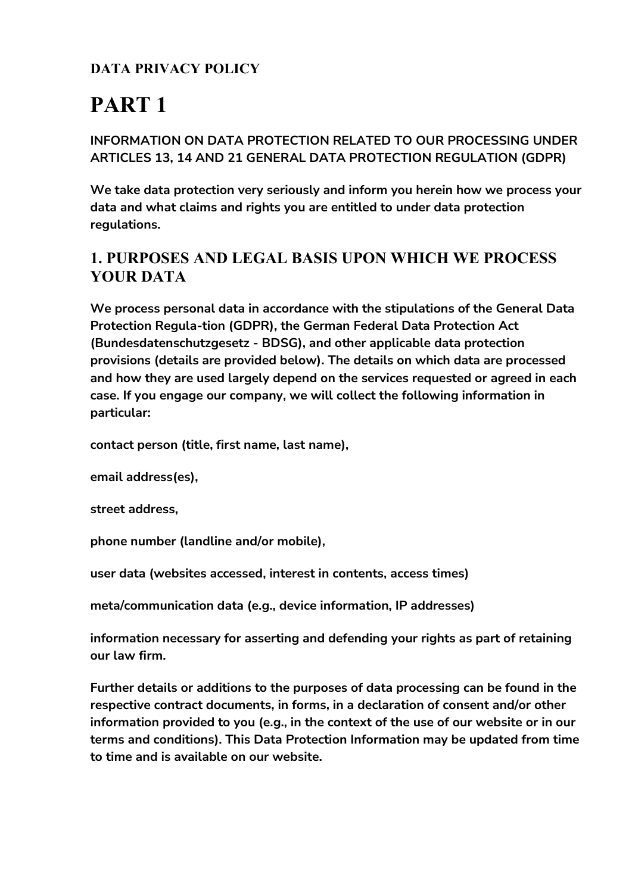### **DATA PRIVACY POLICY**

# **PART 1**

#### **INFORMATION ON DATA PROTECTION RELATED TO OUR PROCESSING UNDER ARTICLES 13, 14 AND 21 GENERAL DATA PROTECTION REGULATION (GDPR)**

**We take data protection very seriously and inform you herein how we process your data and what claims and rights you are entitled to under data protection regulations.**

### **1. PURPOSES AND LEGAL BASIS UPON WHICH WE PROCESS YOUR DATA**

**We process personal data in accordance with the stipulations of the General Data Protection Regula-tion (GDPR), the German Federal Data Protection Act (Bundesdatenschutzgesetz - BDSG), and other applicable data protection provisions (details are provided below). The details on which data are processed and how they are used largely depend on the services requested or agreed in each case. If you engage our company, we will collect the following information in particular:**

**contact person (title, first name, last name),**

**email address(es),**

**street address,**

**phone number (landline and/or mobile),**

**user data (websites accessed, interest in contents, access times)**

**meta/communication data (e.g., device information, IP addresses)**

**information necessary for asserting and defending your rights as part of retaining our law firm.**

**Further details or additions to the purposes of data processing can be found in the respective contract documents, in forms, in a declaration of consent and/or other information provided to you (e.g., in the context of the use of our website or in our terms and conditions). This Data Protection Information may be updated from time to time and is available on our website.**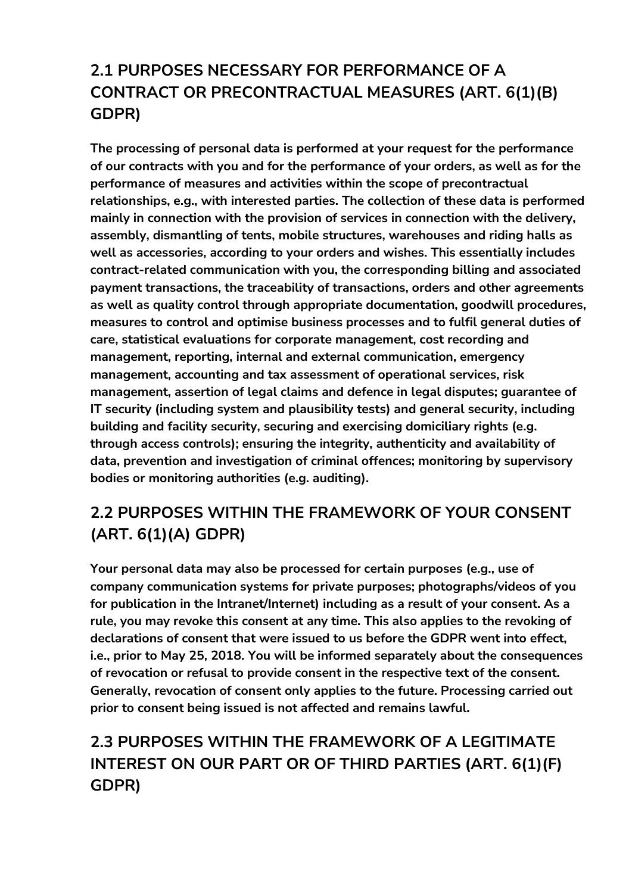# **2.1 PURPOSES NECESSARY FOR PERFORMANCE OF A CONTRACT OR PRECONTRACTUAL MEASURES (ART. 6(1)(B) GDPR)**

**The processing of personal data is performed at your request for the performance of our contracts with you and for the performance of your orders, as well as for the performance of measures and activities within the scope of precontractual relationships, e.g., with interested parties. The collection of these data is performed mainly in connection with the provision of services in connection with the delivery, assembly, dismantling of tents, mobile structures, warehouses and riding halls as well as accessories, according to your orders and wishes. This essentially includes contract-related communication with you, the corresponding billing and associated payment transactions, the traceability of transactions, orders and other agreements as well as quality control through appropriate documentation, goodwill procedures, measures to control and optimise business processes and to fulfil general duties of care, statistical evaluations for corporate management, cost recording and management, reporting, internal and external communication, emergency management, accounting and tax assessment of operational services, risk management, assertion of legal claims and defence in legal disputes; guarantee of IT security (including system and plausibility tests) and general security, including building and facility security, securing and exercising domiciliary rights (e.g. through access controls); ensuring the integrity, authenticity and availability of data, prevention and investigation of criminal offences; monitoring by supervisory bodies or monitoring authorities (e.g. auditing).**

# **2.2 PURPOSES WITHIN THE FRAMEWORK OF YOUR CONSENT (ART. 6(1)(A) GDPR)**

**Your personal data may also be processed for certain purposes (e.g., use of company communication systems for private purposes; photographs/videos of you for publication in the Intranet/Internet) including as a result of your consent. As a rule, you may revoke this consent at any time. This also applies to the revoking of declarations of consent that were issued to us before the GDPR went into effect, i.e., prior to May 25, 2018. You will be informed separately about the consequences of revocation or refusal to provide consent in the respective text of the consent. Generally, revocation of consent only applies to the future. Processing carried out prior to consent being issued is not affected and remains lawful.**

## **2.3 PURPOSES WITHIN THE FRAMEWORK OF A LEGITIMATE INTEREST ON OUR PART OR OF THIRD PARTIES (ART. 6(1)(F) GDPR)**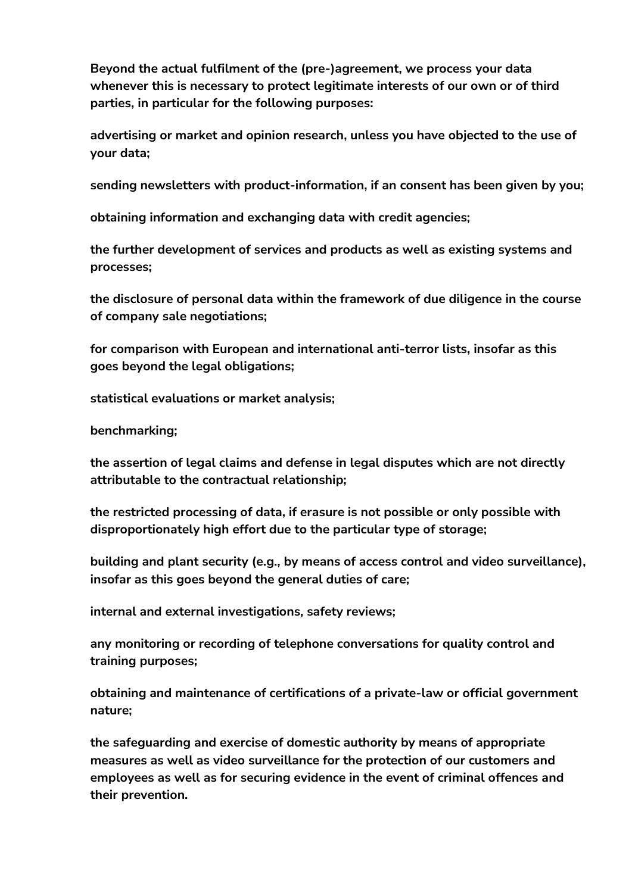**Beyond the actual fulfilment of the (pre-)agreement, we process your data whenever this is necessary to protect legitimate interests of our own or of third parties, in particular for the following purposes:**

**advertising or market and opinion research, unless you have objected to the use of your data;**

**sending newsletters with product-information, if an consent has been given by you;**

**obtaining information and exchanging data with credit agencies;**

**the further development of services and products as well as existing systems and processes;**

**the disclosure of personal data within the framework of due diligence in the course of company sale negotiations;**

**for comparison with European and international anti-terror lists, insofar as this goes beyond the legal obligations;**

**statistical evaluations or market analysis;**

**benchmarking;**

**the assertion of legal claims and defense in legal disputes which are not directly attributable to the contractual relationship;**

**the restricted processing of data, if erasure is not possible or only possible with disproportionately high effort due to the particular type of storage;**

**building and plant security (e.g., by means of access control and video surveillance), insofar as this goes beyond the general duties of care;**

**internal and external investigations, safety reviews;**

**any monitoring or recording of telephone conversations for quality control and training purposes;**

**obtaining and maintenance of certifications of a private-law or official government nature;**

**the safeguarding and exercise of domestic authority by means of appropriate measures as well as video surveillance for the protection of our customers and employees as well as for securing evidence in the event of criminal offences and their prevention.**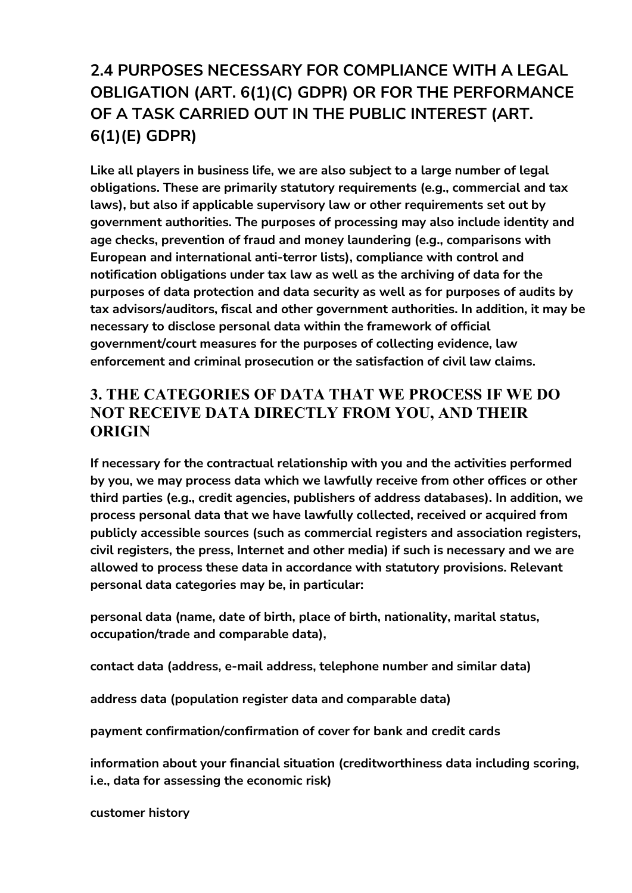# **2.4 PURPOSES NECESSARY FOR COMPLIANCE WITH A LEGAL OBLIGATION (ART. 6(1)(C) GDPR) OR FOR THE PERFORMANCE OF A TASK CARRIED OUT IN THE PUBLIC INTEREST (ART. 6(1)(E) GDPR)**

**Like all players in business life, we are also subject to a large number of legal obligations. These are primarily statutory requirements (e.g., commercial and tax laws), but also if applicable supervisory law or other requirements set out by government authorities. The purposes of processing may also include identity and age checks, prevention of fraud and money laundering (e.g., comparisons with European and international anti-terror lists), compliance with control and notification obligations under tax law as well as the archiving of data for the purposes of data protection and data security as well as for purposes of audits by tax advisors/auditors, fiscal and other government authorities. In addition, it may be necessary to disclose personal data within the framework of official government/court measures for the purposes of collecting evidence, law enforcement and criminal prosecution or the satisfaction of civil law claims.**

### **3. THE CATEGORIES OF DATA THAT WE PROCESS IF WE DO NOT RECEIVE DATA DIRECTLY FROM YOU, AND THEIR ORIGIN**

**If necessary for the contractual relationship with you and the activities performed by you, we may process data which we lawfully receive from other offices or other third parties (e.g., credit agencies, publishers of address databases). In addition, we process personal data that we have lawfully collected, received or acquired from publicly accessible sources (such as commercial registers and association registers, civil registers, the press, Internet and other media) if such is necessary and we are allowed to process these data in accordance with statutory provisions. Relevant personal data categories may be, in particular:**

**personal data (name, date of birth, place of birth, nationality, marital status, occupation/trade and comparable data),**

**contact data (address, e-mail address, telephone number and similar data)**

**address data (population register data and comparable data)**

**payment confirmation/confirmation of cover for bank and credit cards**

**information about your financial situation (creditworthiness data including scoring, i.e., data for assessing the economic risk)**

**customer history**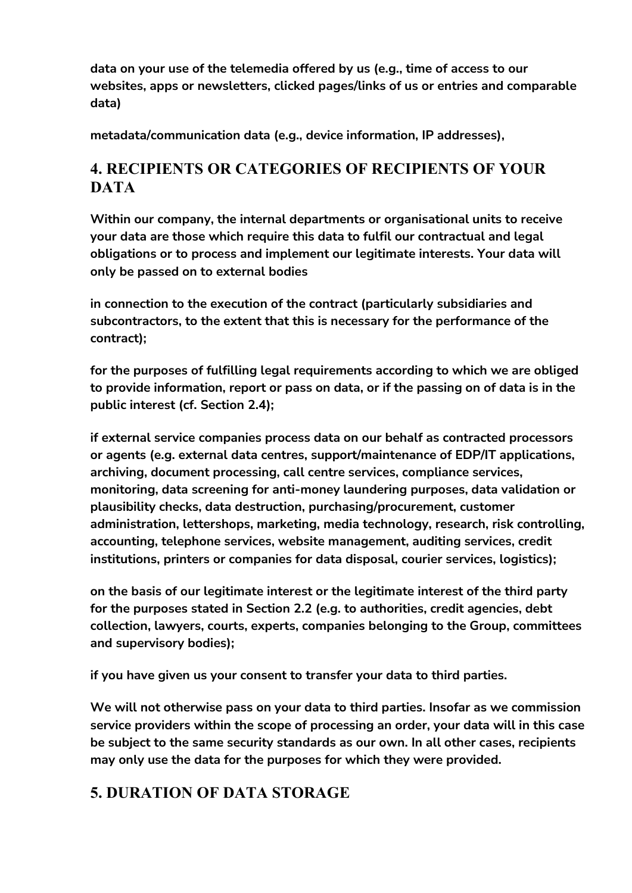**data on your use of the telemedia offered by us (e.g., time of access to our websites, apps or newsletters, clicked pages/links of us or entries and comparable data)**

**metadata/communication data (e.g., device information, IP addresses),**

### **4. RECIPIENTS OR CATEGORIES OF RECIPIENTS OF YOUR DATA**

**Within our company, the internal departments or organisational units to receive your data are those which require this data to fulfil our contractual and legal obligations or to process and implement our legitimate interests. Your data will only be passed on to external bodies**

**in connection to the execution of the contract (particularly subsidiaries and subcontractors, to the extent that this is necessary for the performance of the contract);**

**for the purposes of fulfilling legal requirements according to which we are obliged to provide information, report or pass on data, or if the passing on of data is in the public interest (cf. Section 2.4);**

**if external service companies process data on our behalf as contracted processors or agents (e.g. external data centres, support/maintenance of EDP/IT applications, archiving, document processing, call centre services, compliance services, monitoring, data screening for anti-money laundering purposes, data validation or plausibility checks, data destruction, purchasing/procurement, customer administration, lettershops, marketing, media technology, research, risk controlling, accounting, telephone services, website management, auditing services, credit institutions, printers or companies for data disposal, courier services, logistics);**

**on the basis of our legitimate interest or the legitimate interest of the third party for the purposes stated in Section 2.2 (e.g. to authorities, credit agencies, debt collection, lawyers, courts, experts, companies belonging to the Group, committees and supervisory bodies);**

**if you have given us your consent to transfer your data to third parties.**

**We will not otherwise pass on your data to third parties. Insofar as we commission service providers within the scope of processing an order, your data will in this case be subject to the same security standards as our own. In all other cases, recipients may only use the data for the purposes for which they were provided.**

### **5. DURATION OF DATA STORAGE**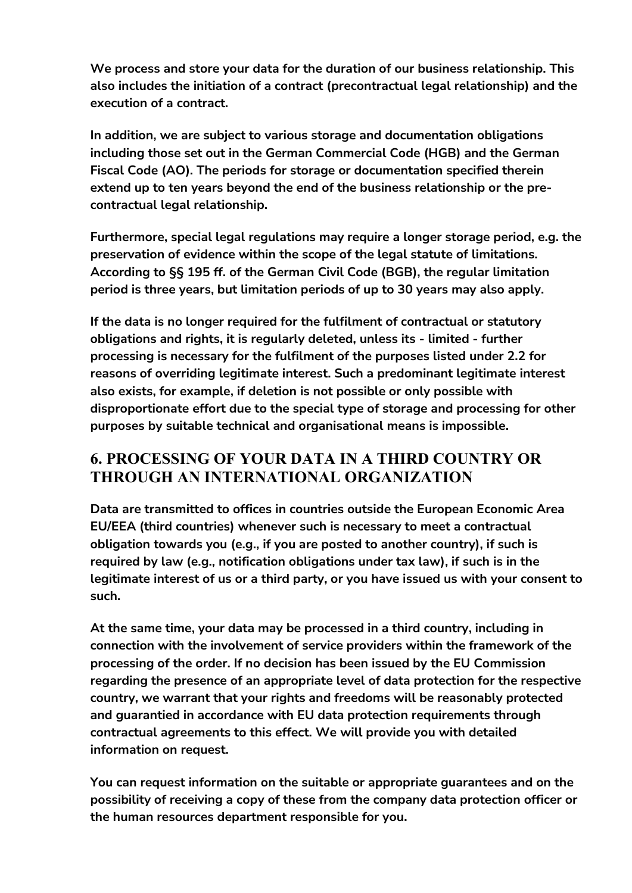**We process and store your data for the duration of our business relationship. This also includes the initiation of a contract (precontractual legal relationship) and the execution of a contract.**

**In addition, we are subject to various storage and documentation obligations including those set out in the German Commercial Code (HGB) and the German Fiscal Code (AO). The periods for storage or documentation specified therein extend up to ten years beyond the end of the business relationship or the precontractual legal relationship.**

**Furthermore, special legal regulations may require a longer storage period, e.g. the preservation of evidence within the scope of the legal statute of limitations. According to §§ 195 ff. of the German Civil Code (BGB), the regular limitation period is three years, but limitation periods of up to 30 years may also apply.**

**If the data is no longer required for the fulfilment of contractual or statutory obligations and rights, it is regularly deleted, unless its - limited - further processing is necessary for the fulfilment of the purposes listed under 2.2 for reasons of overriding legitimate interest. Such a predominant legitimate interest also exists, for example, if deletion is not possible or only possible with disproportionate effort due to the special type of storage and processing for other purposes by suitable technical and organisational means is impossible.**

### **6. PROCESSING OF YOUR DATA IN A THIRD COUNTRY OR THROUGH AN INTERNATIONAL ORGANIZATION**

**Data are transmitted to offices in countries outside the European Economic Area EU/EEA (third countries) whenever such is necessary to meet a contractual obligation towards you (e.g., if you are posted to another country), if such is required by law (e.g., notification obligations under tax law), if such is in the legitimate interest of us or a third party, or you have issued us with your consent to such.**

**At the same time, your data may be processed in a third country, including in connection with the involvement of service providers within the framework of the processing of the order. If no decision has been issued by the EU Commission regarding the presence of an appropriate level of data protection for the respective country, we warrant that your rights and freedoms will be reasonably protected and guarantied in accordance with EU data protection requirements through contractual agreements to this effect. We will provide you with detailed information on request.**

**You can request information on the suitable or appropriate guarantees and on the possibility of receiving a copy of these from the company data protection officer or the human resources department responsible for you.**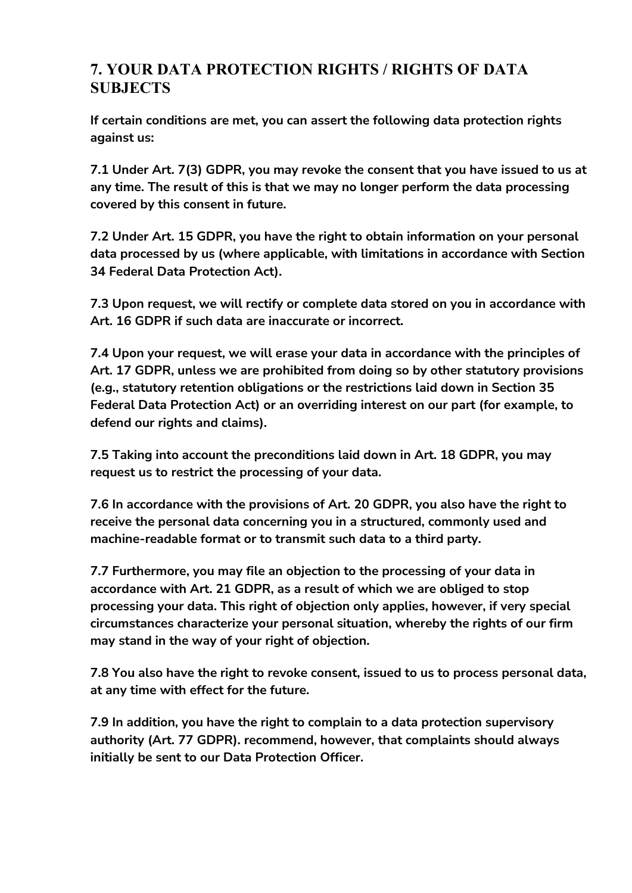### **7. YOUR DATA PROTECTION RIGHTS / RIGHTS OF DATA SUBJECTS**

**If certain conditions are met, you can assert the following data protection rights against us:**

**7.1 Under Art. 7(3) GDPR, you may revoke the consent that you have issued to us at any time. The result of this is that we may no longer perform the data processing covered by this consent in future.**

**7.2 Under Art. 15 GDPR, you have the right to obtain information on your personal data processed by us (where applicable, with limitations in accordance with Section 34 Federal Data Protection Act).**

**7.3 Upon request, we will rectify or complete data stored on you in accordance with Art. 16 GDPR if such data are inaccurate or incorrect.**

**7.4 Upon your request, we will erase your data in accordance with the principles of Art. 17 GDPR, unless we are prohibited from doing so by other statutory provisions (e.g., statutory retention obligations or the restrictions laid down in Section 35 Federal Data Protection Act) or an overriding interest on our part (for example, to defend our rights and claims).**

**7.5 Taking into account the preconditions laid down in Art. 18 GDPR, you may request us to restrict the processing of your data.**

**7.6 In accordance with the provisions of Art. 20 GDPR, you also have the right to receive the personal data concerning you in a structured, commonly used and machine-readable format or to transmit such data to a third party.**

**7.7 Furthermore, you may file an objection to the processing of your data in accordance with Art. 21 GDPR, as a result of which we are obliged to stop processing your data. This right of objection only applies, however, if very special circumstances characterize your personal situation, whereby the rights of our firm may stand in the way of your right of objection.**

**7.8 You also have the right to revoke consent, issued to us to process personal data, at any time with effect for the future.**

**7.9 In addition, you have the right to complain to a data protection supervisory authority (Art. 77 GDPR). recommend, however, that complaints should always initially be sent to our Data Protection Officer.**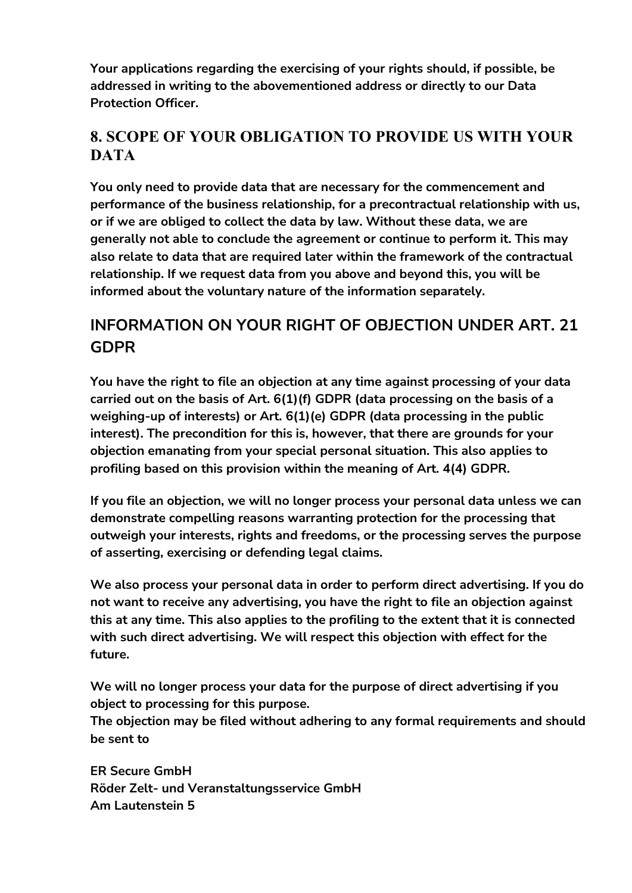**Your applications regarding the exercising of your rights should, if possible, be addressed in writing to the abovementioned address or directly to our Data Protection Officer.**

### **8. SCOPE OF YOUR OBLIGATION TO PROVIDE US WITH YOUR DATA**

**You only need to provide data that are necessary for the commencement and performance of the business relationship, for a precontractual relationship with us, or if we are obliged to collect the data by law. Without these data, we are generally not able to conclude the agreement or continue to perform it. This may also relate to data that are required later within the framework of the contractual relationship. If we request data from you above and beyond this, you will be informed about the voluntary nature of the information separately.**

### **INFORMATION ON YOUR RIGHT OF OBJECTION UNDER ART. 21 GDPR**

**You have the right to file an objection at any time against processing of your data carried out on the basis of Art. 6(1)(f) GDPR (data processing on the basis of a weighing-up of interests) or Art. 6(1)(e) GDPR (data processing in the public interest). The precondition for this is, however, that there are grounds for your objection emanating from your special personal situation. This also applies to profiling based on this provision within the meaning of Art. 4(4) GDPR.**

**If you file an objection, we will no longer process your personal data unless we can demonstrate compelling reasons warranting protection for the processing that outweigh your interests, rights and freedoms, or the processing serves the purpose of asserting, exercising or defending legal claims.**

**We also process your personal data in order to perform direct advertising. If you do not want to receive any advertising, you have the right to file an objection against this at any time. This also applies to the profiling to the extent that it is connected with such direct advertising. We will respect this objection with effect for the future.**

**We will no longer process your data for the purpose of direct advertising if you object to processing for this purpose.**

**The objection may be filed without adhering to any formal requirements and should be sent to**

**ER Secure GmbH Röder Zelt- und Veranstaltungsservice GmbH Am Lautenstein 5**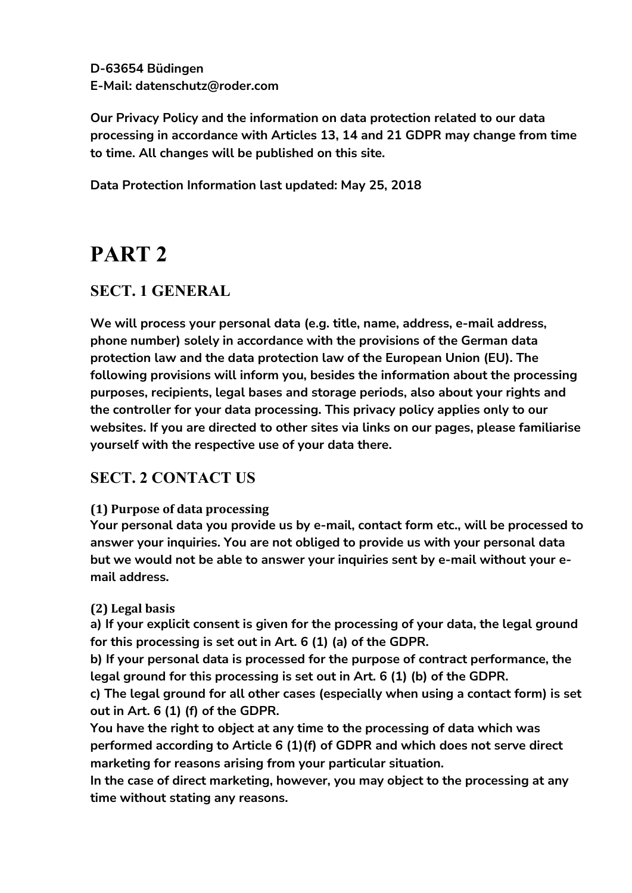**D-63654 Büdingen E-Mail: [datenschutz@roder.com](mailto:datenschutz@roder.com)**

**Our Privacy Policy and the information on data protection related to our data processing in accordance with Articles 13, 14 and 21 GDPR may change from time to time. All changes will be published on this site.**

**Data Protection Information last updated: May 25, 2018**

# **PART 2**

### **SECT. 1 GENERAL**

**We will process your personal data (e.g. title, name, address, e-mail address, phone number) solely in accordance with the provisions of the German data protection law and the data protection law of the European Union (EU). The following provisions will inform you, besides the information about the processing purposes, recipients, legal bases and storage periods, also about your rights and the controller for your data processing. This privacy policy applies only to our websites. If you are directed to other sites via links on our pages, please familiarise yourself with the respective use of your data there.**

### **SECT. 2 CONTACT US**

#### **(1) Purpose of data processing**

**Your personal data you provide us by e-mail, contact form etc., will be processed to answer your inquiries. You are not obliged to provide us with your personal data but we would not be able to answer your inquiries sent by e-mail without your email address.**

#### **(2) Legal basis**

**a) If your explicit consent is given for the processing of your data, the legal ground for this processing is set out in Art. 6 (1) (a) of the GDPR.**

**b) If your personal data is processed for the purpose of contract performance, the legal ground for this processing is set out in Art. 6 (1) (b) of the GDPR.**

**c) The legal ground for all other cases (especially when using a contact form) is set out in Art. 6 (1) (f) of the GDPR.**

**You have the right to object at any time to the processing of data which was performed according to Article 6 (1)(f) of GDPR and which does not serve direct marketing for reasons arising from your particular situation.**

**In the case of direct marketing, however, you may object to the processing at any time without stating any reasons.**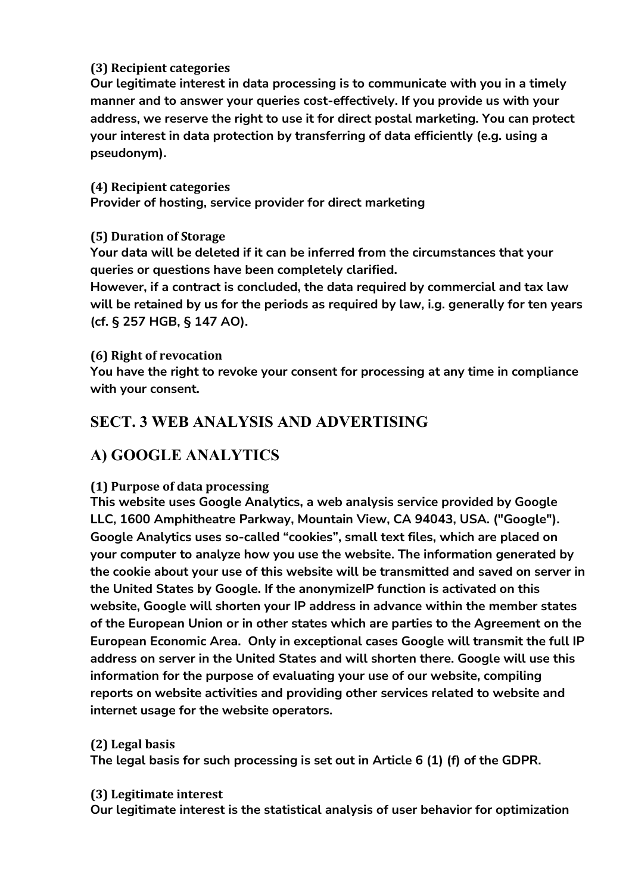#### **(3) Recipient categories**

**Our legitimate interest in data processing is to communicate with you in a timely manner and to answer your queries cost-effectively. If you provide us with your address, we reserve the right to use it for direct postal marketing. You can protect your interest in data protection by transferring of data efficiently (e.g. using a pseudonym).**

#### **(4) Recipient categories**

**Provider of hosting, service provider for direct marketing**

#### **(5) Duration of Storage**

**Your data will be deleted if it can be inferred from the circumstances that your queries or questions have been completely clarified.**

**However, if a contract is concluded, the data required by commercial and tax law will be retained by us for the periods as required by law, i.g. generally for ten years (cf. § 257 HGB, § 147 AO).**

#### **(6) Right of revocation**

**You have the right to revoke your consent for processing at any time in compliance with your consent.**

### **SECT. 3 WEB ANALYSIS AND ADVERTISING**

### **A) GOOGLE ANALYTICS**

#### **(1) Purpose of data processing**

**This website uses Google Analytics, a web analysis service provided by Google LLC, 1600 Amphitheatre Parkway, Mountain View, CA 94043, USA. ("Google"). Google Analytics uses so-called "cookies", small text files, which are placed on your computer to analyze how you use the website. The information generated by the cookie about your use of this website will be transmitted and saved on server in the United States by Google. If the anonymizeIP function is activated on this website, Google will shorten your IP address in advance within the member states of the European Union or in other states which are parties to the Agreement on the European Economic Area. Only in exceptional cases Google will transmit the full IP address on server in the United States and will shorten there. Google will use this information for the purpose of evaluating your use of our website, compiling reports on website activities and providing other services related to website and internet usage for the website operators.**

#### **(2) Legal basis**

**The legal basis for such processing is set out in Article 6 (1) (f) of the GDPR.**

#### **(3) Legitimate interest**

**Our legitimate interest is the statistical analysis of user behavior for optimization**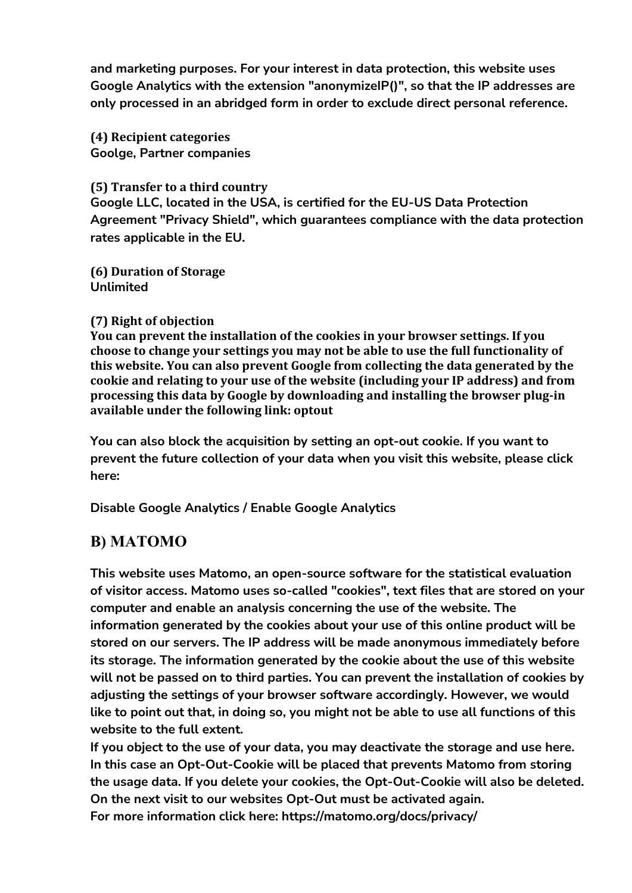**and marketing purposes. For your interest in data protection, this website uses Google Analytics with the extension "anonymizeIP()", so that the IP addresses are only processed in an abridged form in order to exclude direct personal reference.**

**(4) Recipient categories Goolge, Partner companies**

#### **(5) Transfer to a third country**

**Google LLC, located in the USA, is certified for the EU-US Data Protection Agreement "Privacy Shield", which guarantees compliance with the data protection rates applicable in the EU.**

**(6) Duration of Storage Unlimited**

#### **(7) Right of objection**

**You can prevent the installation of the cookies in your browser settings. If you choose to change your settings you may not be able to use the full functionality of this website. You can also prevent Google from collecting the data generated by the cookie and relating to your use of the website (including your IP address) and from processing this data by Google by downloading and installing the browser plug-in available under the following link: [optout](http://tools.google.com/dlpage/gaoptout?hl=de)**

**You can also block the acquisition by setting an opt-out cookie. If you want to prevent the future collection of your data when you visit this website, please click here:**

**Disable Google Analytics / Enable Google Analytics**

### **B) MATOMO**

**This website uses Matomo, an open-source software for the statistical evaluation of visitor access. Matomo uses so-called "cookies", text files that are stored on your computer and enable an analysis concerning the use of the website. The information generated by the cookies about your use of this online product will be stored on our servers. The IP address will be made anonymous immediately before its storage. The information generated by the cookie about the use of this website will not be passed on to third parties. You can prevent the installation of cookies by adjusting the settings of your browser software accordingly. However, we would like to point out that, in doing so, you might not be able to use all functions of this website to the full extent.**

**If you object to the use of your data, you may deactivate the storage and use here. In this case an Opt-Out-Cookie will be placed that prevents Matomo from storing the usage data. If you delete your cookies, the Opt-Out-Cookie will also be deleted. On the next visit to our websites Opt-Out must be activated again. For more information click here: [https://matomo.org/docs/privacy/](https://matomo.org/docs/privacy)**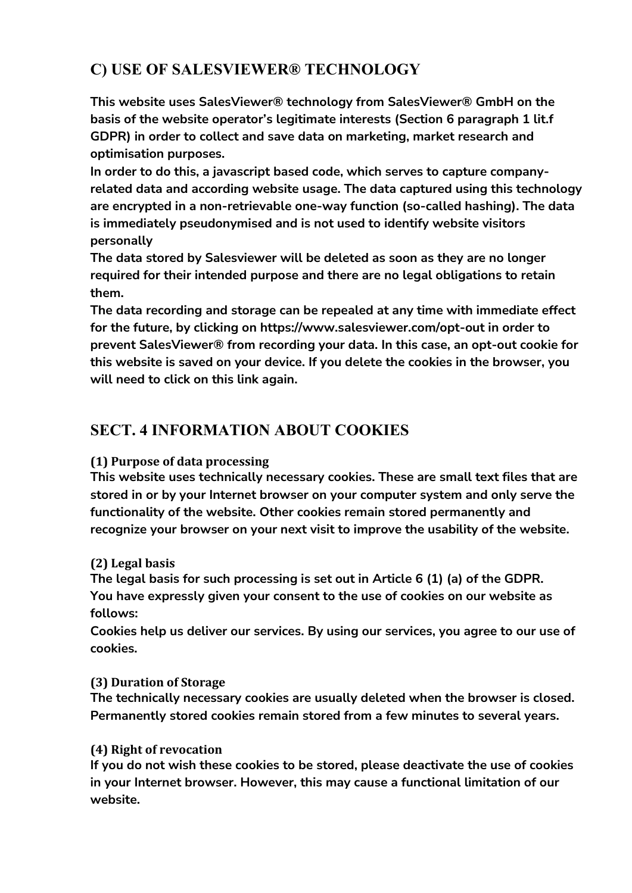### **C) USE OF SALESVIEWER® TECHNOLOGY**

**This website uses SalesViewer® technology from SalesViewer® GmbH on the basis of the website operator's legitimate interests (Section 6 paragraph 1 lit.f GDPR) in order to collect and save data on marketing, market research and optimisation purposes.**

**In order to do this, a javascript based code, which serves to capture companyrelated data and according website usage. The data captured using this technology are encrypted in a non-retrievable one-way function (so-called hashing). The data is immediately pseudonymised and is not used to identify website visitors personally**

**The data stored by Salesviewer will be deleted as soon as they are no longer required for their intended purpose and there are no legal obligations to retain them.**

**The data recording and storage can be repealed at any time with immediate effect for the future, by clicking on <https://www.salesviewer.com/opt-out> in order to prevent SalesViewer® from recording your data. In this case, an opt-out cookie for this website is saved on your device. If you delete the cookies in the browser, you will need to click on this link again.**

### **SECT. 4 INFORMATION ABOUT COOKIES**

#### **(1) Purpose of data processing**

**This website uses technically necessary cookies. These are small text files that are stored in or by your Internet browser on your computer system and only serve the functionality of the website. Other cookies remain stored permanently and recognize your browser on your next visit to improve the usability of the website.**

#### **(2) Legal basis**

**The legal basis for such processing is set out in Article 6 (1) (a) of the GDPR. You have expressly given your consent to the use of cookies on our website as follows:**

**Cookies help us deliver our services. By using our services, you agree to our use of cookies.**

#### **(3) Duration of Storage**

**The technically necessary cookies are usually deleted when the browser is closed. Permanently stored cookies remain stored from a few minutes to several years.**

#### **(4) Right of revocation**

**If you do not wish these cookies to be stored, please deactivate the use of cookies in your Internet browser. However, this may cause a functional limitation of our website.**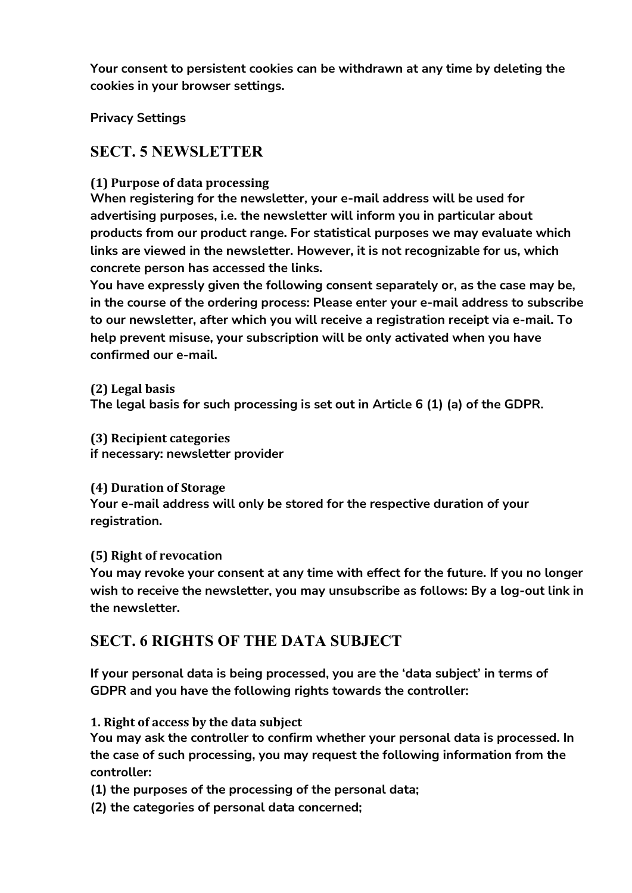**Your consent to persistent cookies can be withdrawn at any time by deleting the cookies in your browser settings.**

**Privacy Settings**

### **SECT. 5 NEWSLETTER**

#### **(1) Purpose of data processing**

**When registering for the newsletter, your e-mail address will be used for advertising purposes, i.e. the newsletter will inform you in particular about products from our product range. For statistical purposes we may evaluate which links are viewed in the newsletter. However, it is not recognizable for us, which concrete person has accessed the links.**

**You have expressly given the following consent separately or, as the case may be, in the course of the ordering process: Please enter your e-mail address to subscribe to our newsletter, after which you will receive a registration receipt via e-mail. To help prevent misuse, your subscription will be only activated when you have confirmed our e-mail.**

**(2) Legal basis The legal basis for such processing is set out in Article 6 (1) (a) of the GDPR.**

**(3) Recipient categories if necessary: newsletter provider**

**(4) Duration of Storage Your e-mail address will only be stored for the respective duration of your registration.**

#### **(5) Right of revocation**

**You may revoke your consent at any time with effect for the future. If you no longer wish to receive the newsletter, you may unsubscribe as follows: By a log-out link in the newsletter.**

### **SECT. 6 RIGHTS OF THE DATA SUBJECT**

**If your personal data is being processed, you are the 'data subject' in terms of GDPR and you have the following rights towards the controller:**

**1. Right of access by the data subject**

**You may ask the controller to confirm whether your personal data is processed. In the case of such processing, you may request the following information from the controller:**

**(1) the purposes of the processing of the personal data;**

**(2) the categories of personal data concerned;**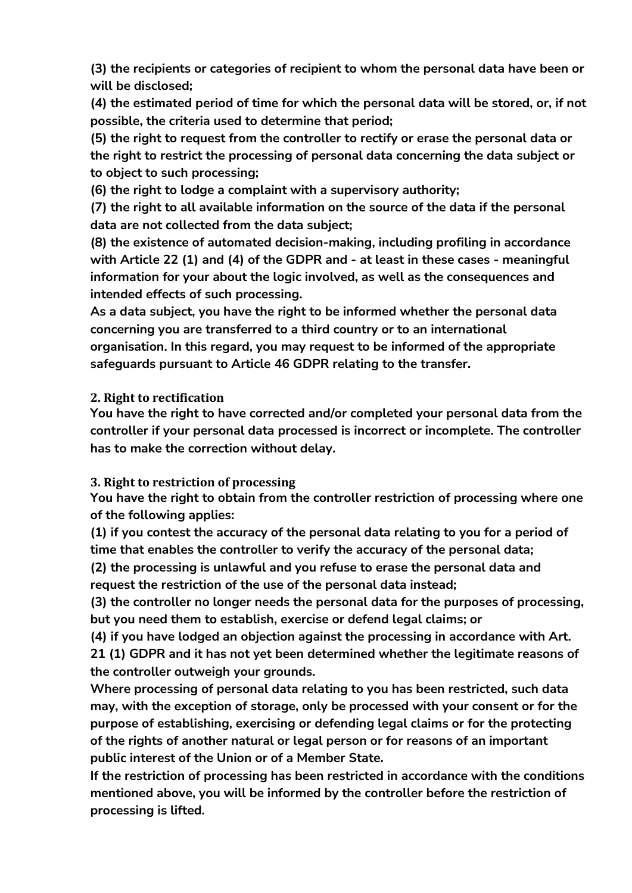**(3) the recipients or categories of recipient to whom the personal data have been or will be disclosed;**

**(4) the estimated period of time for which the personal data will be stored, or, if not possible, the criteria used to determine that period;**

**(5) the right to request from the controller to rectify or erase the personal data or the right to restrict the processing of personal data concerning the data subject or to object to such processing;**

**(6) the right to lodge a complaint with a supervisory authority;**

**(7) the right to all available information on the source of the data if the personal data are not collected from the data subject;**

**(8) the existence of automated decision-making, including profiling in accordance with Article 22 (1) and (4) of the GDPR and - at least in these cases - meaningful information for your about the logic involved, as well as the consequences and intended effects of such processing.**

**As a data subject, you have the right to be informed whether the personal data concerning you are transferred to a third country or to an international organisation. In this regard, you may request to be informed of the appropriate safeguards pursuant to Article 46 GDPR relating to the transfer.**

**2. Right to rectification**

**You have the right to have corrected and/or completed your personal data from the controller if your personal data processed is incorrect or incomplete. The controller has to make the correction without delay.**

**3. Right to restriction of processing**

**You have the right to obtain from the controller restriction of processing where one of the following applies:**

**(1) if you contest the accuracy of the personal data relating to you for a period of time that enables the controller to verify the accuracy of the personal data;**

**(2) the processing is unlawful and you refuse to erase the personal data and request the restriction of the use of the personal data instead;**

**(3) the controller no longer needs the personal data for the purposes of processing, but you need them to establish, exercise or defend legal claims; or**

**(4) if you have lodged an objection against the processing in accordance with Art. 21 (1) GDPR and it has not yet been determined whether the legitimate reasons of the controller outweigh your grounds.**

**Where processing of personal data relating to you has been restricted, such data may, with the exception of storage, only be processed with your consent or for the purpose of establishing, exercising or defending legal claims or for the protecting of the rights of another natural or legal person or for reasons of an important public interest of the Union or of a Member State.**

**If the restriction of processing has been restricted in accordance with the conditions mentioned above, you will be informed by the controller before the restriction of processing is lifted.**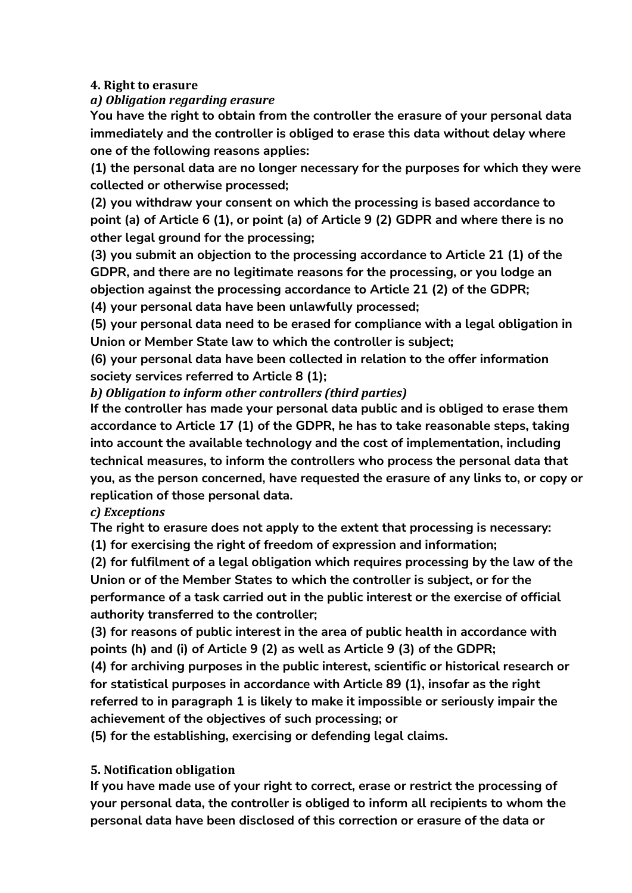#### **4. Right to erasure**

#### *a) Obligation regarding erasure*

**You have the right to obtain from the controller the erasure of your personal data immediately and the controller is obliged to erase this data without delay where one of the following reasons applies:**

**(1) the personal data are no longer necessary for the purposes for which they were collected or otherwise processed;**

**(2) you withdraw your consent on which the processing is based accordance to point (a) of Article 6 (1), or point (a) of Article 9 (2) GDPR and where there is no other legal ground for the processing;**

**(3) you submit an objection to the processing accordance to Article 21 (1) of the GDPR, and there are no legitimate reasons for the processing, or you lodge an objection against the processing accordance to Article 21 (2) of the GDPR;**

**(4) your personal data have been unlawfully processed;**

**(5) your personal data need to be erased for compliance with a legal obligation in Union or Member State law to which the controller is subject;**

**(6) your personal data have been collected in relation to the offer information society services referred to Article 8 (1);**

*b) Obligation to inform other controllers (third parties)*

**If the controller has made your personal data public and is obliged to erase them accordance to Article 17 (1) of the GDPR, he has to take reasonable steps, taking into account the available technology and the cost of implementation, including technical measures, to inform the controllers who process the personal data that you, as the person concerned, have requested the erasure of any links to, or copy or replication of those personal data.**

*c) Exceptions*

**The right to erasure does not apply to the extent that processing is necessary:**

**(1) for exercising the right of freedom of expression and information;**

**(2) for fulfilment of a legal obligation which requires processing by the law of the Union or of the Member States to which the controller is subject, or for the performance of a task carried out in the public interest or the exercise of official authority transferred to the controller;**

**(3) for reasons of public interest in the area of public health in accordance with points (h) and (i) of Article 9 (2) as well as Article 9 (3) of the GDPR;**

**(4) for archiving purposes in the public interest, scientific or historical research or for statistical purposes in accordance with Article 89 (1), insofar as the right referred to in paragraph 1 is likely to make it impossible or seriously impair the achievement of the objectives of such processing; or**

**(5) for the establishing, exercising or defending legal claims.**

#### **5. Notification obligation**

**If you have made use of your right to correct, erase or restrict the processing of your personal data, the controller is obliged to inform all recipients to whom the personal data have been disclosed of this correction or erasure of the data or**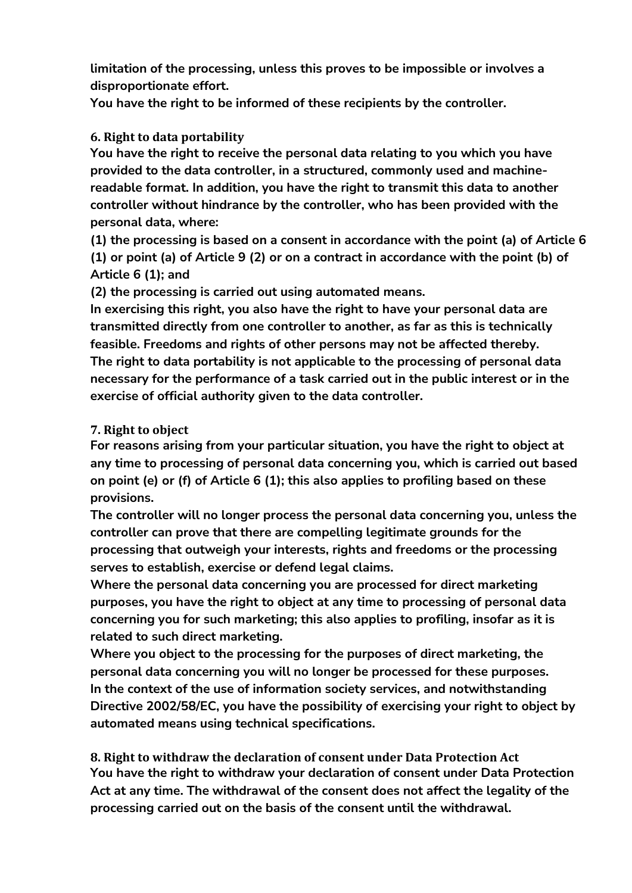**limitation of the processing, unless this proves to be impossible or involves a disproportionate effort.**

**You have the right to be informed of these recipients by the controller.**

#### **6. Right to data portability**

**You have the right to receive the personal data relating to you which you have provided to the data controller, in a structured, commonly used and machinereadable format. In addition, you have the right to transmit this data to another controller without hindrance by the controller, who has been provided with the personal data, where:**

**(1) the processing is based on a consent in accordance with the point (a) of Article 6 (1) or point (a) of Article 9 (2) or on a contract in accordance with the point (b) of Article 6 (1); and**

**(2) the processing is carried out using automated means.**

**In exercising this right, you also have the right to have your personal data are transmitted directly from one controller to another, as far as this is technically feasible. Freedoms and rights of other persons may not be affected thereby. The right to data portability is not applicable to the processing of personal data necessary for the performance of a task carried out in the public interest or in the exercise of official authority given to the data controller.**

#### **7. Right to object**

**For reasons arising from your particular situation, you have the right to object at any time to processing of personal data concerning you, which is carried out based on point (e) or (f) of Article 6 (1); this also applies to profiling based on these provisions.**

**The controller will no longer process the personal data concerning you, unless the controller can prove that there are compelling legitimate grounds for the processing that outweigh your interests, rights and freedoms or the processing serves to establish, exercise or defend legal claims.**

**Where the personal data concerning you are processed for direct marketing purposes, you have the right to object at any time to processing of personal data concerning you for such marketing; this also applies to profiling, insofar as it is related to such direct marketing.**

**Where you object to the processing for the purposes of direct marketing, the personal data concerning you will no longer be processed for these purposes. In the context of the use of information society services, and notwithstanding Directive 2002/58/EC, you have the possibility of exercising your right to object by automated means using technical specifications.**

**8. Right to withdraw the declaration of consent under Data Protection Act You have the right to withdraw your declaration of consent under Data Protection Act at any time. The withdrawal of the consent does not affect the legality of the processing carried out on the basis of the consent until the withdrawal.**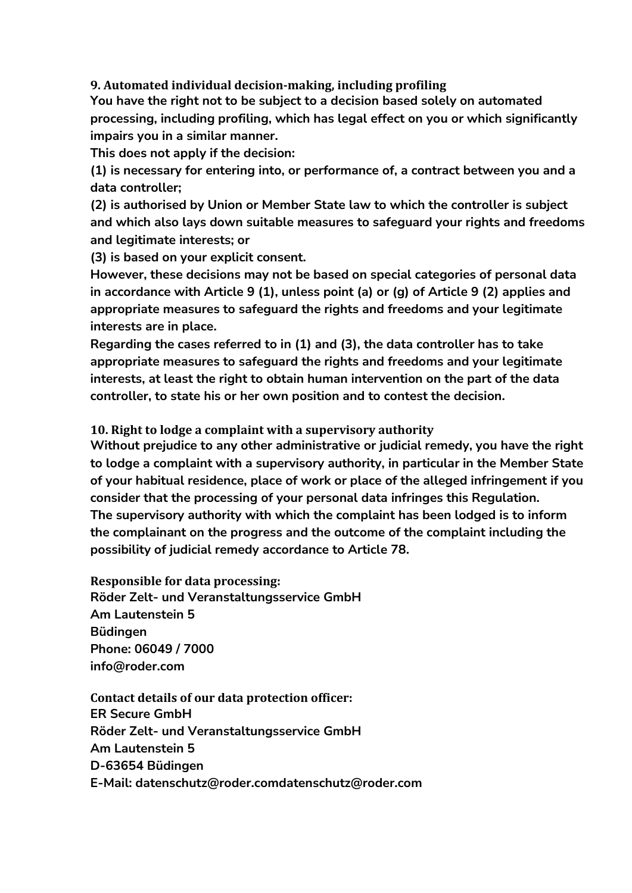**9. Automated individual decision-making, including profiling**

**You have the right not to be subject to a decision based solely on automated processing, including profiling, which has legal effect on you or which significantly impairs you in a similar manner.**

**This does not apply if the decision:**

**(1) is necessary for entering into, or performance of, a contract between you and a data controller;**

**(2) is authorised by Union or Member State law to which the controller is subject and which also lays down suitable measures to safeguard your rights and freedoms and legitimate interests; or**

**(3) is based on your explicit consent.**

**However, these decisions may not be based on special categories of personal data in accordance with Article 9 (1), unless point (a) or (g) of Article 9 (2) applies and appropriate measures to safeguard the rights and freedoms and your legitimate interests are in place.**

**Regarding the cases referred to in (1) and (3), the data controller has to take appropriate measures to safeguard the rights and freedoms and your legitimate interests, at least the right to obtain human intervention on the part of the data controller, to state his or her own position and to contest the decision.**

**10. Right to lodge a complaint with a supervisory authority**

**Without prejudice to any other administrative or judicial remedy, you have the right to lodge a complaint with a supervisory authority, in particular in the Member State of your habitual residence, place of work or place of the alleged infringement if you consider that the processing of your personal data infringes this Regulation. The supervisory authority with which the complaint has been lodged is to inform the complainant on the progress and the outcome of the complaint including the possibility of judicial remedy accordance to Article 78.**

**Responsible for data processing: Röder Zelt- und Veranstaltungsservice GmbH Am Lautenstein 5 Büdingen Phone: 06049 / 7000 [info@roder.com](mailto:info@roder.com)**

**Contact details of our data protection officer: ER Secure GmbH Röder Zelt- und Veranstaltungsservice GmbH Am Lautenstein 5 D-63654 Büdingen E-Mail: datenschutz@roder.co[mdatenschutz@roder.com](mailto:datenschutz@roder.com)**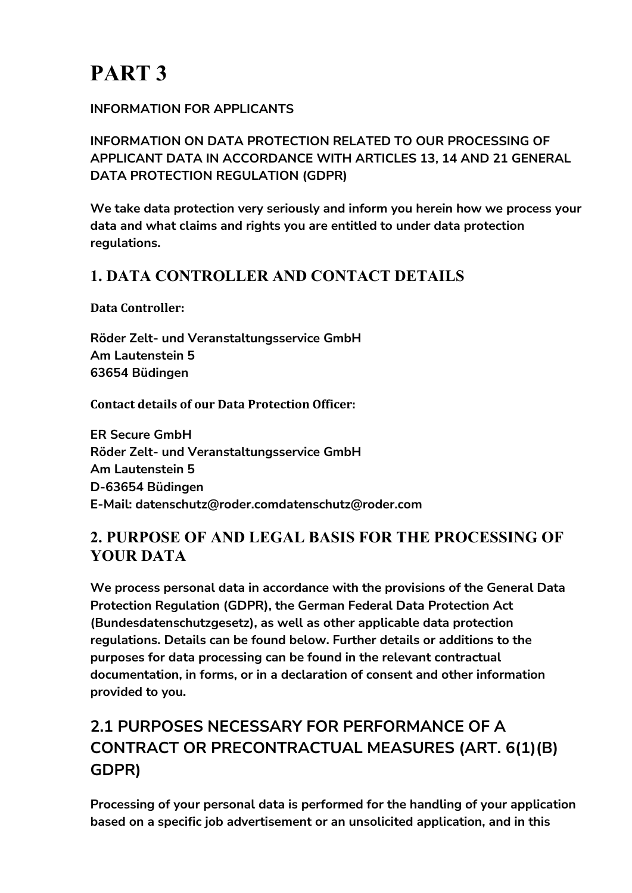#### **INFORMATION FOR APPLICANTS**

**INFORMATION ON DATA PROTECTION RELATED TO OUR PROCESSING OF APPLICANT DATA IN ACCORDANCE WITH ARTICLES 13, 14 AND 21 GENERAL DATA PROTECTION REGULATION (GDPR)**

**We take data protection very seriously and inform you herein how we process your data and what claims and rights you are entitled to under data protection regulations.**

### **1. DATA CONTROLLER AND CONTACT DETAILS**

**Data Controller:**

**Röder Zelt- und Veranstaltungsservice GmbH Am Lautenstein 5 63654 Büdingen**

**Contact details of our Data Protection Officer:**

**ER Secure GmbH Röder Zelt- und Veranstaltungsservice GmbH Am Lautenstein 5 D-63654 Büdingen E-Mail: datenschutz@roder.co[mdatenschutz@roder.com](mailto:datenschutz@roder.com)**

### **2. PURPOSE OF AND LEGAL BASIS FOR THE PROCESSING OF YOUR DATA**

**We process personal data in accordance with the provisions of the General Data Protection Regulation (GDPR), the German Federal Data Protection Act (Bundesdatenschutzgesetz), as well as other applicable data protection regulations. Details can be found below. Further details or additions to the purposes for data processing can be found in the relevant contractual documentation, in forms, or in a declaration of consent and other information provided to you.**

# **2.1 PURPOSES NECESSARY FOR PERFORMANCE OF A CONTRACT OR PRECONTRACTUAL MEASURES (ART. 6(1)(B) GDPR)**

**Processing of your personal data is performed for the handling of your application based on a specific job advertisement or an unsolicited application, and in this**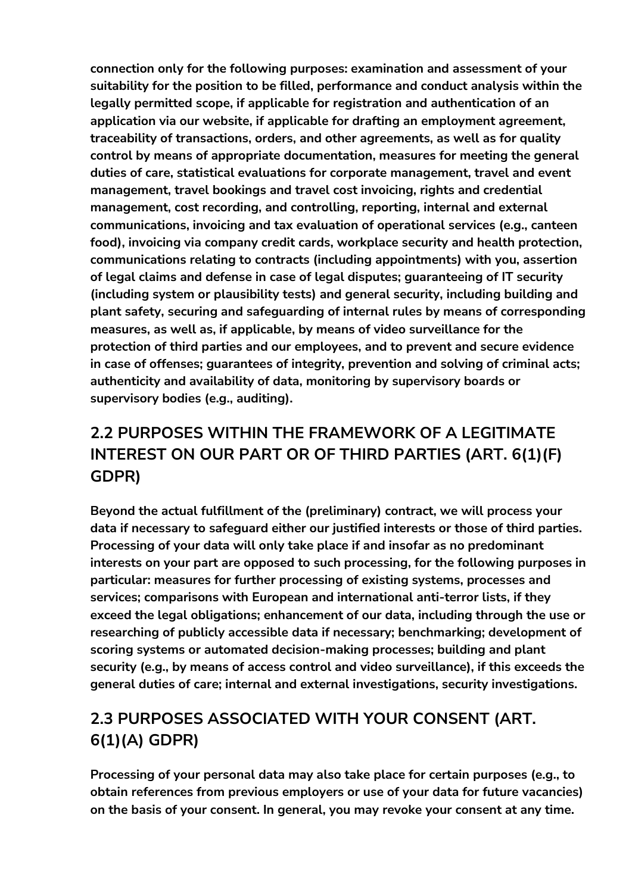**connection only for the following purposes: examination and assessment of your suitability for the position to be filled, performance and conduct analysis within the legally permitted scope, if applicable for registration and authentication of an application via our website, if applicable for drafting an employment agreement, traceability of transactions, orders, and other agreements, as well as for quality control by means of appropriate documentation, measures for meeting the general duties of care, statistical evaluations for corporate management, travel and event management, travel bookings and travel cost invoicing, rights and credential management, cost recording, and controlling, reporting, internal and external communications, invoicing and tax evaluation of operational services (e.g., canteen food), invoicing via company credit cards, workplace security and health protection, communications relating to contracts (including appointments) with you, assertion of legal claims and defense in case of legal disputes; guaranteeing of IT security (including system or plausibility tests) and general security, including building and plant safety, securing and safeguarding of internal rules by means of corresponding measures, as well as, if applicable, by means of video surveillance for the protection of third parties and our employees, and to prevent and secure evidence in case of offenses; guarantees of integrity, prevention and solving of criminal acts; authenticity and availability of data, monitoring by supervisory boards or supervisory bodies (e.g., auditing).**

# **2.2 PURPOSES WITHIN THE FRAMEWORK OF A LEGITIMATE INTEREST ON OUR PART OR OF THIRD PARTIES (ART. 6(1)(F) GDPR)**

**Beyond the actual fulfillment of the (preliminary) contract, we will process your data if necessary to safeguard either our justified interests or those of third parties. Processing of your data will only take place if and insofar as no predominant interests on your part are opposed to such processing, for the following purposes in particular: measures for further processing of existing systems, processes and services; comparisons with European and international anti-terror lists, if they exceed the legal obligations; enhancement of our data, including through the use or researching of publicly accessible data if necessary; benchmarking; development of scoring systems or automated decision-making processes; building and plant security (e.g., by means of access control and video surveillance), if this exceeds the general duties of care; internal and external investigations, security investigations.**

# **2.3 PURPOSES ASSOCIATED WITH YOUR CONSENT (ART. 6(1)(A) GDPR)**

**Processing of your personal data may also take place for certain purposes (e.g., to obtain references from previous employers or use of your data for future vacancies) on the basis of your consent. In general, you may revoke your consent at any time.**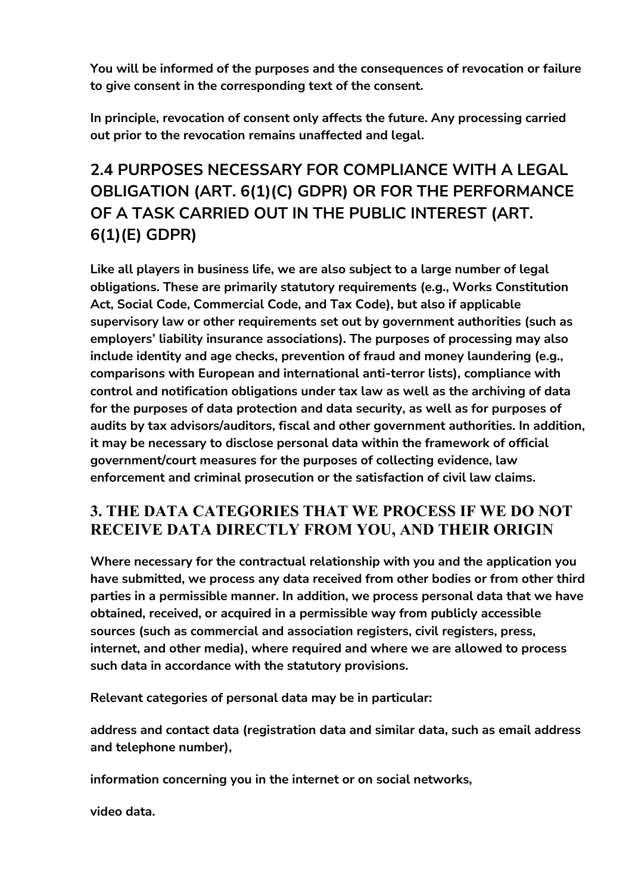**You will be informed of the purposes and the consequences of revocation or failure to give consent in the corresponding text of the consent.**

**In principle, revocation of consent only affects the future. Any processing carried out prior to the revocation remains unaffected and legal.**

# **2.4 PURPOSES NECESSARY FOR COMPLIANCE WITH A LEGAL OBLIGATION (ART. 6(1)(C) GDPR) OR FOR THE PERFORMANCE OF A TASK CARRIED OUT IN THE PUBLIC INTEREST (ART. 6(1)(E) GDPR)**

**Like all players in business life, we are also subject to a large number of legal obligations. These are primarily statutory requirements (e.g., Works Constitution Act, Social Code, Commercial Code, and Tax Code), but also if applicable supervisory law or other requirements set out by government authorities (such as employers' liability insurance associations). The purposes of processing may also include identity and age checks, prevention of fraud and money laundering (e.g., comparisons with European and international anti-terror lists), compliance with control and notification obligations under tax law as well as the archiving of data for the purposes of data protection and data security, as well as for purposes of audits by tax advisors/auditors, fiscal and other government authorities. In addition, it may be necessary to disclose personal data within the framework of official government/court measures for the purposes of collecting evidence, law enforcement and criminal prosecution or the satisfaction of civil law claims.**

### **3. THE DATA CATEGORIES THAT WE PROCESS IF WE DO NOT RECEIVE DATA DIRECTLY FROM YOU, AND THEIR ORIGIN**

**Where necessary for the contractual relationship with you and the application you have submitted, we process any data received from other bodies or from other third parties in a permissible manner. In addition, we process personal data that we have obtained, received, or acquired in a permissible way from publicly accessible sources (such as commercial and association registers, civil registers, press, internet, and other media), where required and where we are allowed to process such data in accordance with the statutory provisions.**

**Relevant categories of personal data may be in particular:**

**address and contact data (registration data and similar data, such as email address and telephone number),**

**information concerning you in the internet or on social networks,**

**video data.**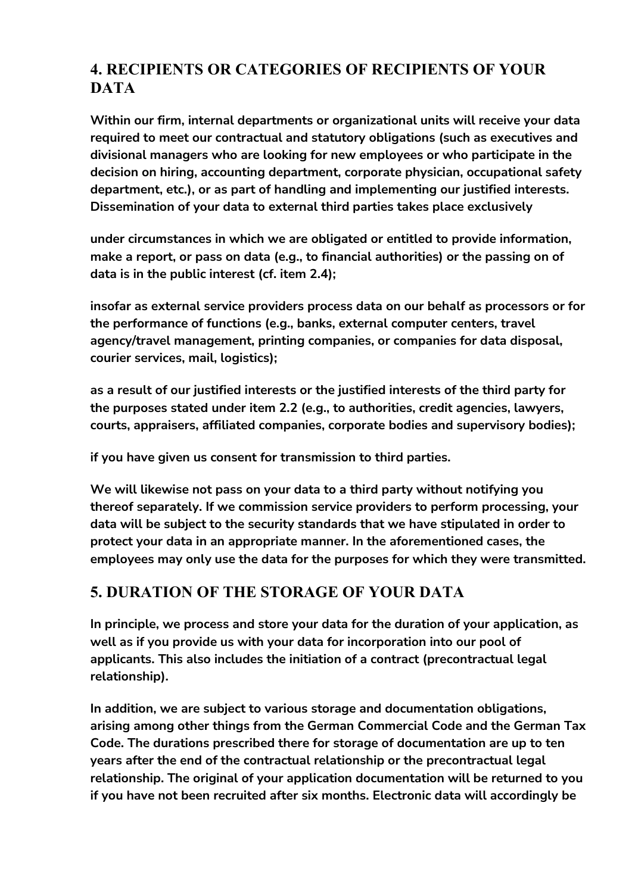### **4. RECIPIENTS OR CATEGORIES OF RECIPIENTS OF YOUR DATA**

**Within our firm, internal departments or organizational units will receive your data required to meet our contractual and statutory obligations (such as executives and divisional managers who are looking for new employees or who participate in the decision on hiring, accounting department, corporate physician, occupational safety department, etc.), or as part of handling and implementing our justified interests. Dissemination of your data to external third parties takes place exclusively**

**under circumstances in which we are obligated or entitled to provide information, make a report, or pass on data (e.g., to financial authorities) or the passing on of data is in the public interest (cf. item 2.4);**

**insofar as external service providers process data on our behalf as processors or for the performance of functions (e.g., banks, external computer centers, travel agency/travel management, printing companies, or companies for data disposal, courier services, mail, logistics);**

**as a result of our justified interests or the justified interests of the third party for the purposes stated under item 2.2 (e.g., to authorities, credit agencies, lawyers, courts, appraisers, affiliated companies, corporate bodies and supervisory bodies);**

**if you have given us consent for transmission to third parties.**

**We will likewise not pass on your data to a third party without notifying you thereof separately. If we commission service providers to perform processing, your data will be subject to the security standards that we have stipulated in order to protect your data in an appropriate manner. In the aforementioned cases, the employees may only use the data for the purposes for which they were transmitted.**

### **5. DURATION OF THE STORAGE OF YOUR DATA**

**In principle, we process and store your data for the duration of your application, as well as if you provide us with your data for incorporation into our pool of applicants. This also includes the initiation of a contract (precontractual legal relationship).**

**In addition, we are subject to various storage and documentation obligations, arising among other things from the German Commercial Code and the German Tax Code. The durations prescribed there for storage of documentation are up to ten years after the end of the contractual relationship or the precontractual legal relationship. The original of your application documentation will be returned to you if you have not been recruited after six months. Electronic data will accordingly be**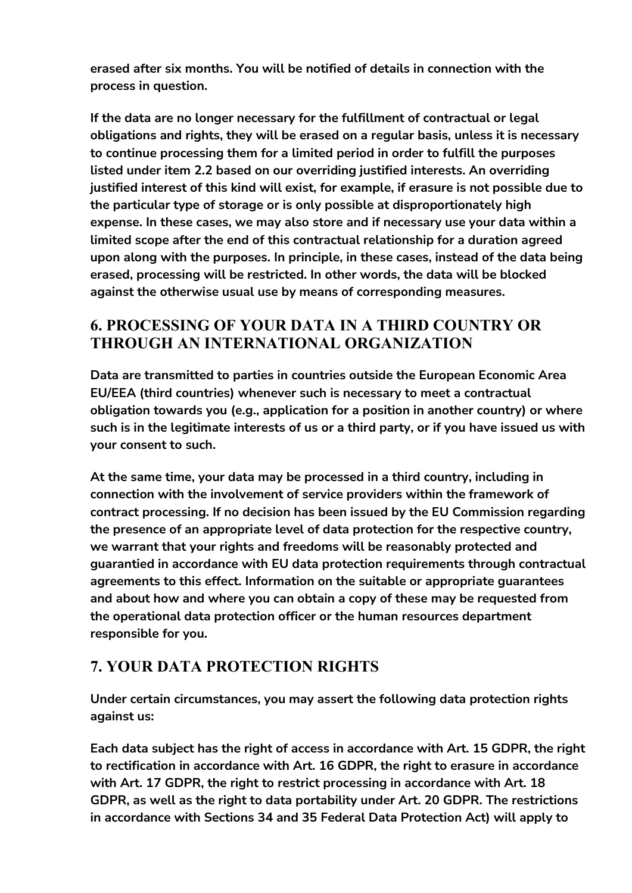**erased after six months. You will be notified of details in connection with the process in question.**

**If the data are no longer necessary for the fulfillment of contractual or legal obligations and rights, they will be erased on a regular basis, unless it is necessary to continue processing them for a limited period in order to fulfill the purposes listed under item 2.2 based on our overriding justified interests. An overriding justified interest of this kind will exist, for example, if erasure is not possible due to the particular type of storage or is only possible at disproportionately high expense. In these cases, we may also store and if necessary use your data within a limited scope after the end of this contractual relationship for a duration agreed upon along with the purposes. In principle, in these cases, instead of the data being erased, processing will be restricted. In other words, the data will be blocked against the otherwise usual use by means of corresponding measures.**

### **6. PROCESSING OF YOUR DATA IN A THIRD COUNTRY OR THROUGH AN INTERNATIONAL ORGANIZATION**

**Data are transmitted to parties in countries outside the European Economic Area EU/EEA (third countries) whenever such is necessary to meet a contractual obligation towards you (e.g., application for a position in another country) or where such is in the legitimate interests of us or a third party, or if you have issued us with your consent to such.**

**At the same time, your data may be processed in a third country, including in connection with the involvement of service providers within the framework of contract processing. If no decision has been issued by the EU Commission regarding the presence of an appropriate level of data protection for the respective country, we warrant that your rights and freedoms will be reasonably protected and guarantied in accordance with EU data protection requirements through contractual agreements to this effect. Information on the suitable or appropriate guarantees and about how and where you can obtain a copy of these may be requested from the operational data protection officer or the human resources department responsible for you.**

### **7. YOUR DATA PROTECTION RIGHTS**

**Under certain circumstances, you may assert the following data protection rights against us:**

**Each data subject has the right of access in accordance with Art. 15 GDPR, the right to rectification in accordance with Art. 16 GDPR, the right to erasure in accordance with Art. 17 GDPR, the right to restrict processing in accordance with Art. 18 GDPR, as well as the right to data portability under Art. 20 GDPR. The restrictions in accordance with Sections 34 and 35 Federal Data Protection Act) will apply to**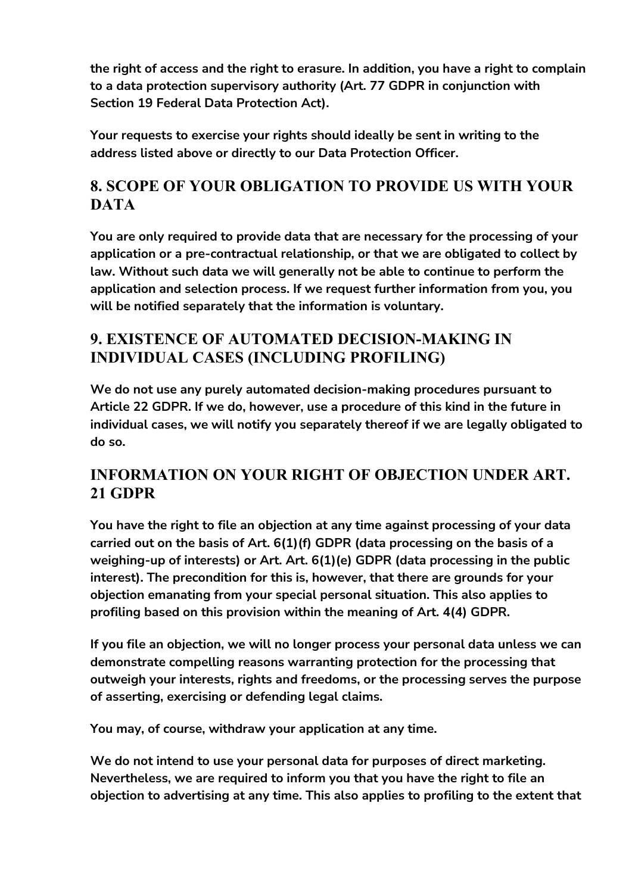**the right of access and the right to erasure. In addition, you have a right to complain to a data protection supervisory authority (Art. 77 GDPR in conjunction with Section 19 Federal Data Protection Act).**

**Your requests to exercise your rights should ideally be sent in writing to the address listed above or directly to our Data Protection Officer.**

### **8. SCOPE OF YOUR OBLIGATION TO PROVIDE US WITH YOUR DATA**

**You are only required to provide data that are necessary for the processing of your application or a pre-contractual relationship, or that we are obligated to collect by law. Without such data we will generally not be able to continue to perform the application and selection process. If we request further information from you, you will be notified separately that the information is voluntary.**

### **9. EXISTENCE OF AUTOMATED DECISION-MAKING IN INDIVIDUAL CASES (INCLUDING PROFILING)**

**We do not use any purely automated decision-making procedures pursuant to Article 22 GDPR. If we do, however, use a procedure of this kind in the future in individual cases, we will notify you separately thereof if we are legally obligated to do so.**

### **INFORMATION ON YOUR RIGHT OF OBJECTION UNDER ART. 21 GDPR**

**You have the right to file an objection at any time against processing of your data carried out on the basis of Art. 6(1)(f) GDPR (data processing on the basis of a weighing-up of interests) or Art. Art. 6(1)(e) GDPR (data processing in the public interest). The precondition for this is, however, that there are grounds for your objection emanating from your special personal situation. This also applies to profiling based on this provision within the meaning of Art. 4(4) GDPR.**

**If you file an objection, we will no longer process your personal data unless we can demonstrate compelling reasons warranting protection for the processing that outweigh your interests, rights and freedoms, or the processing serves the purpose of asserting, exercising or defending legal claims.**

**You may, of course, withdraw your application at any time.**

**We do not intend to use your personal data for purposes of direct marketing. Nevertheless, we are required to inform you that you have the right to file an objection to advertising at any time. This also applies to profiling to the extent that**